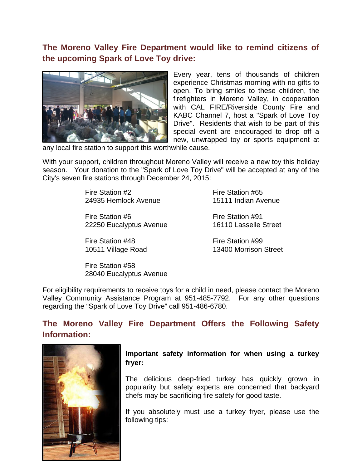**The Moreno Valley Fire Department would like to remind citizens of the upcoming Spark of Love Toy drive:**



Every year, tens of thousands of children experience Christmas morning with no gifts to open. To bring smiles to these children, the firefighters in Moreno Valley, in cooperation with CAL FIRE/Riverside County Fire and KABC Channel 7, host a "Spark of Love Toy Drive". Residents that wish to be part of this special event are encouraged to drop off a new, unwrapped toy or sports equipment at

any local fire station to support this worthwhile cause.

With your support, children throughout Moreno Valley will receive a new toy this holiday season. Your donation to the "Spark of Love Toy Drive" will be accepted at any of the City's seven fire stations through December 24, 2015:

> Fire Station #2 Fire Station #65 24935 Hemlock Avenue 15111 Indian Avenue

> Fire Station #6 Fire Station #91 22250 Eucalyptus Avenue 16110 Lasselle Street

Fire Station #48 Fire Station #99

10511 Village Road 13400 Morrison Street

Fire Station #58 28040 Eucalyptus Avenue

For eligibility requirements to receive toys for a child in need, please contact the Moreno Valley Community Assistance Program at 951-485-7792. For any other questions regarding the "Spark of Love Toy Drive" call 951-486-6780.

# **The Moreno Valley Fire Department Offers the Following Safety Information:**



### **Important safety information for when using a turkey fryer:**

The delicious deep-fried turkey has quickly grown in popularity but safety experts are concerned that backyard chefs may be sacrificing fire safety for good taste.

If you absolutely must use a turkey fryer, please use the following tips: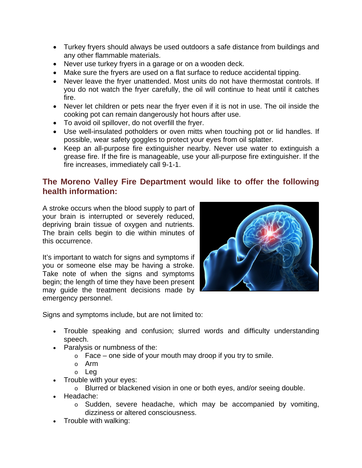- Turkey fryers should always be used outdoors a safe distance from buildings and any other flammable materials.
- Never use turkey fryers in a garage or on a wooden deck.
- Make sure the fryers are used on a flat surface to reduce accidental tipping.
- Never leave the fryer unattended. Most units do not have thermostat controls. If you do not watch the fryer carefully, the oil will continue to heat until it catches fire.
- Never let children or pets near the fryer even if it is not in use. The oil inside the cooking pot can remain dangerously hot hours after use.
- To avoid oil spillover, do not overfill the fryer.
- Use well-insulated potholders or oven mitts when touching pot or lid handles. If possible, wear safety goggles to protect your eyes from oil splatter.
- Keep an all-purpose fire extinguisher nearby. Never use water to extinguish a grease fire. If the fire is manageable, use your all-purpose fire extinguisher. If the fire increases, immediately call 9-1-1.

## **The Moreno Valley Fire Department would like to offer the following health information:**

A stroke occurs when the blood supply to part of your brain is interrupted or severely reduced, depriving brain tissue of oxygen and nutrients. The brain cells begin to die within minutes of this occurrence.

It's important to watch for signs and symptoms if you or someone else may be having a stroke. Take note of when the signs and symptoms begin; the length of time they have been present may guide the treatment decisions made by emergency personnel.



Signs and symptoms include, but are not limited to:

- Trouble speaking and confusion; slurred words and difficulty understanding speech.
- Paralysis or numbness of the:
	- $\circ$  Face one side of your mouth may droop if you try to smile.
	- o Arm
	- o Leg
- Trouble with your eyes:
	- o Blurred or blackened vision in one or both eyes, and/or seeing double.
- Headache:
	- o Sudden, severe headache, which may be accompanied by vomiting, dizziness or altered consciousness.
- Trouble with walking: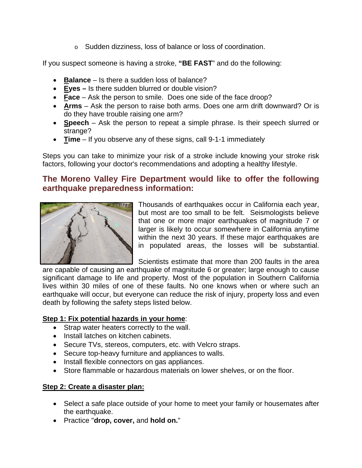o Sudden dizziness, loss of balance or loss of coordination.

If you suspect someone is having a stroke, **"BE FAST**" and do the following:

- **Balance** Is there a sudden loss of balance?
- **Eyes –** Is there sudden blurred or double vision?
- **Face** Ask the person to smile. Does one side of the face droop?
- **Arms** Ask the person to raise both arms. Does one arm drift downward? Or is do they have trouble raising one arm?
- **Speech** Ask the person to repeat a simple phrase. Is their speech slurred or strange?
- **Time** If you observe any of these signs, call 9-1-1 immediately

Steps you can take to minimize your risk of a stroke include knowing your stroke risk factors, following your doctor's recommendations and adopting a healthy lifestyle.

## **The Moreno Valley Fire Department would like to offer the following earthquake preparedness information:**



Thousands of earthquakes occur in California each year, but most are too small to be felt. Seismologists believe that one or more major earthquakes of magnitude 7 or larger is likely to occur somewhere in California anytime within the next 30 years. If these major earthquakes are in populated areas, the losses will be substantial.

Scientists estimate that more than 200 faults in the area

are capable of causing an earthquake of magnitude 6 or greater; large enough to cause significant damage to life and property. Most of the population in Southern California lives within 30 miles of one of these faults. No one knows when or where such an earthquake will occur, but everyone can reduce the risk of injury, property loss and even death by following the safety steps listed below.

### **Step 1: Fix potential hazards in your home**:

- Strap water heaters correctly to the wall.
- Install latches on kitchen cabinets.
- Secure TVs, stereos, computers, etc. with Velcro straps.
- Secure top-heavy furniture and appliances to walls.
- Install flexible connectors on gas appliances.
- Store flammable or hazardous materials on lower shelves, or on the floor.

### **Step 2: Create a disaster plan:**

- Select a safe place outside of your home to meet your family or housemates after the earthquake.
- Practice "**drop, cover,** and **hold on.**"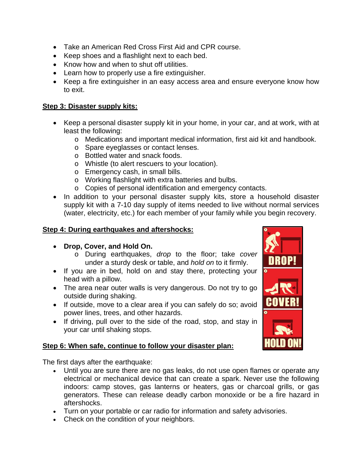- Take an American Red Cross First Aid and CPR course.
- Keep shoes and a flashlight next to each bed.
- Know how and when to shut off utilities.
- Learn how to properly use a fire extinguisher.
- Keep a fire extinguisher in an easy access area and ensure everyone know how to exit.

#### **Step 3: Disaster supply kits:**

- Keep a personal disaster supply kit in your home, in your car, and at work, with at least the following:
	- o Medications and important medical information, first aid kit and handbook.
	- o Spare eyeglasses or contact lenses.
	- o Bottled water and snack foods.
	- o Whistle (to alert rescuers to your location).
	- o Emergency cash, in small bills.
	- o Working flashlight with extra batteries and bulbs.
	- o Copies of personal identification and emergency contacts.
- In addition to your personal disaster supply kits, store a household disaster supply kit with a 7-10 day supply of items needed to live without normal services (water, electricity, etc.) for each member of your family while you begin recovery.

#### **Step 4: During earthquakes and aftershocks:**

- **Drop, Cover, and Hold On.**
	- o During earthquakes, *drop* to the floor; take *cover* under a sturdy desk or table, and *hold on* to it firmly.
- If you are in bed, hold on and stay there, protecting your head with a pillow.
- The area near outer walls is very dangerous. Do not try to go outside during shaking.
- If outside, move to a clear area if you can safely do so; avoid power lines, trees, and other hazards.
- If driving, pull over to the side of the road, stop, and stay in your car until shaking stops.

#### **Step 6: When safe, continue to follow your disaster plan:**

The first days after the earthquake:

- Until you are sure there are no gas leaks, do not use open flames or operate any electrical or mechanical device that can create a spark. Never use the following indoors: camp stoves, gas lanterns or heaters, gas or charcoal grills, or gas generators. These can release deadly carbon monoxide or be a fire hazard in aftershocks.
- Turn on your portable or car radio for information and safety advisories.
- Check on the condition of your neighbors.